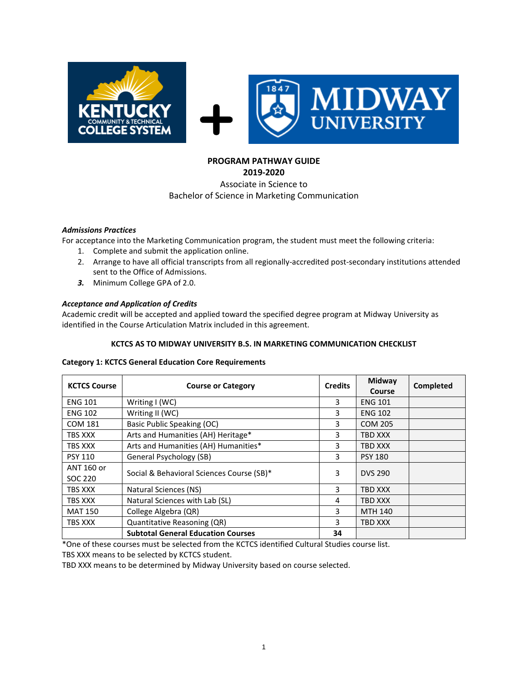

# **PROGRAM PATHWAY GUIDE**

#### **2019-2020** Associate in Science to

# Bachelor of Science in Marketing Communication

# *Admissions Practices*

For acceptance into the Marketing Communication program, the student must meet the following criteria:

- 1. Complete and submit the application online.
- 2. Arrange to have all official transcripts from all regionally-accredited post-secondary institutions attended sent to the Office of Admissions.
- *3.* Minimum College GPA of 2.0.

# *Acceptance and Application of Credits*

Academic credit will be accepted and applied toward the specified degree program at Midway University as identified in the Course Articulation Matrix included in this agreement.

# **KCTCS AS TO MIDWAY UNIVERSITY B.S. IN MARKETING COMMUNICATION CHECKLIST**

#### **Category 1: KCTCS General Education Core Requirements**

| <b>KCTCS Course</b>   | <b>Course or Category</b>                 | <b>Credits</b> | Midway<br>Course | Completed |
|-----------------------|-------------------------------------------|----------------|------------------|-----------|
| <b>ENG 101</b>        | Writing I (WC)                            | 3              | <b>ENG 101</b>   |           |
| <b>ENG 102</b>        | Writing II (WC)                           | 3              | <b>ENG 102</b>   |           |
| <b>COM 181</b>        | Basic Public Speaking (OC)                | 3              | <b>COM 205</b>   |           |
| TBS XXX               | Arts and Humanities (AH) Heritage*        | 3              | TBD XXX          |           |
| TBS XXX               | Arts and Humanities (AH) Humanities*      |                | TBD XXX          |           |
| <b>PSY 110</b>        | General Psychology (SB)                   |                | <b>PSY 180</b>   |           |
| ANT 160 or<br>SOC 220 | Social & Behavioral Sciences Course (SB)* |                | <b>DVS 290</b>   |           |
| TBS XXX               | Natural Sciences (NS)                     | 3              | <b>TBD XXX</b>   |           |
| TBS XXX               | Natural Sciences with Lab (SL)            | 4              | <b>TBD XXX</b>   |           |
| <b>MAT 150</b>        | College Algebra (QR)                      | 3              | <b>MTH 140</b>   |           |
| TBS XXX               | Quantitative Reasoning (QR)               | 3              | TBD XXX          |           |
|                       | <b>Subtotal General Education Courses</b> | 34             |                  |           |

\*One of these courses must be selected from the KCTCS identified Cultural Studies course list.

TBS XXX means to be selected by KCTCS student.

TBD XXX means to be determined by Midway University based on course selected.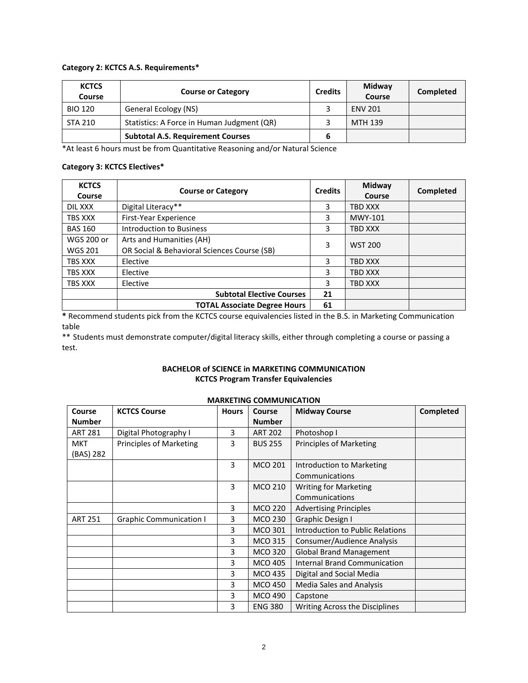#### **Category 2: KCTCS A.S. Requirements\***

| <b>KCTCS</b><br>Course | <b>Course or Category</b>                  |  | Midway<br>Course | <b>Completed</b> |
|------------------------|--------------------------------------------|--|------------------|------------------|
| <b>BIO 120</b>         | General Ecology (NS)                       |  | <b>ENV 201</b>   |                  |
| <b>STA 210</b>         | Statistics: A Force in Human Judgment (QR) |  | MTH 139          |                  |
|                        | <b>Subtotal A.S. Requirement Courses</b>   |  |                  |                  |

\*At least 6 hours must be from Quantitative Reasoning and/or Natural Science

#### **Category 3: KCTCS Electives\***

| <b>KCTCS</b><br>Course | <b>Course or Category</b>                   | <b>Credits</b> | Midway<br>Course | Completed |
|------------------------|---------------------------------------------|----------------|------------------|-----------|
| DIL XXX                | Digital Literacy**                          | 3              | TBD XXX          |           |
| TBS XXX                | First-Year Experience                       | 3              | MWY-101          |           |
| <b>BAS 160</b>         | Introduction to Business                    | 3              | TBD XXX          |           |
| <b>WGS 200 or</b>      | Arts and Humanities (AH)                    |                | <b>WST 200</b>   |           |
| <b>WGS 201</b>         | OR Social & Behavioral Sciences Course (SB) | 3              |                  |           |
| <b>TBS XXX</b>         | Elective                                    | 3              | TBD XXX          |           |
| TBS XXX                | Elective                                    | 3              | TBD XXX          |           |
| TBS XXX                | Elective                                    |                | TBD XXX          |           |
|                        | <b>Subtotal Elective Courses</b>            | 21             |                  |           |
|                        | <b>TOTAL Associate Degree Hours</b>         | 61             |                  |           |

**\*** Recommend students pick from the KCTCS course equivalencies listed in the B.S. in Marketing Communication table

\*\* Students must demonstrate computer/digital literacy skills, either through completing a course or passing a test.

# **BACHELOR of SCIENCE in MARKETING COMMUNICATION KCTCS Program Transfer Equivalencies**

| Course         | <b>KCTCS Course</b>            | <b>Hours</b> | Course         | <b>Midway Course</b>                | Completed |
|----------------|--------------------------------|--------------|----------------|-------------------------------------|-----------|
| <b>Number</b>  |                                |              | <b>Number</b>  |                                     |           |
| <b>ART 281</b> | Digital Photography I          | 3            | <b>ART 202</b> | Photoshop I                         |           |
| <b>MKT</b>     | <b>Principles of Marketing</b> | 3            | <b>BUS 255</b> | <b>Principles of Marketing</b>      |           |
| (BAS) 282      |                                |              |                |                                     |           |
|                |                                | 3            | <b>MCO 201</b> | Introduction to Marketing           |           |
|                |                                |              |                | Communications                      |           |
|                |                                | 3            | <b>MCO 210</b> | <b>Writing for Marketing</b>        |           |
|                |                                |              |                | Communications                      |           |
|                |                                | 3            | <b>MCO 220</b> | <b>Advertising Principles</b>       |           |
| <b>ART 251</b> | <b>Graphic Communication I</b> | 3            | <b>MCO 230</b> | <b>Graphic Design I</b>             |           |
|                |                                | 3            | <b>MCO 301</b> | Introduction to Public Relations    |           |
|                |                                | 3            | <b>MCO 315</b> | Consumer/Audience Analysis          |           |
|                |                                | 3            | <b>MCO 320</b> | <b>Global Brand Management</b>      |           |
|                |                                | 3            | <b>MCO 405</b> | <b>Internal Brand Communication</b> |           |
|                |                                | 3            | <b>MCO 435</b> | Digital and Social Media            |           |
|                |                                | 3            | <b>MCO 450</b> | <b>Media Sales and Analysis</b>     |           |
|                |                                | 3            | <b>MCO 490</b> | Capstone                            |           |
|                |                                | 3            | <b>ENG 380</b> | Writing Across the Disciplines      |           |

# **MARKETING COMMUNICATION**